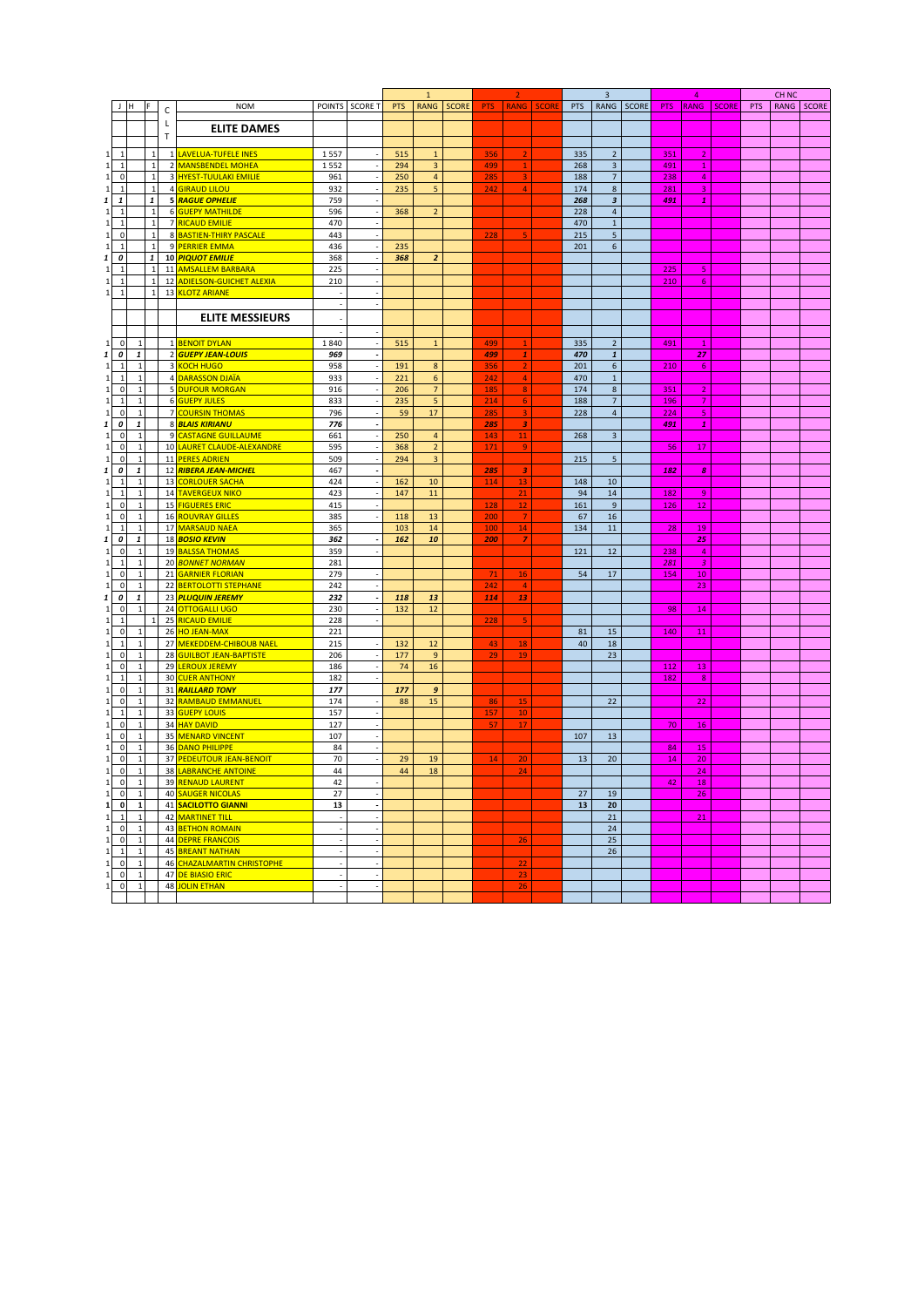|                |                    |   |                            |      |                          | $\mathbf{1}$ |                         |              |     |                 |              |     | $\overline{\mathbf{3}}$   |       | 4          |                |              | CH <sub>NC</sub> |      |              |
|----------------|--------------------|---|----------------------------|------|--------------------------|--------------|-------------------------|--------------|-----|-----------------|--------------|-----|---------------------------|-------|------------|----------------|--------------|------------------|------|--------------|
|                |                    | C | <b>NOM</b>                 |      | POINTS SCORE T           | <b>PTS</b>   | <b>RANG</b>             | <b>SCORE</b> | PTS | <b>RANG</b>     | <b>SCORE</b> | PTS | <b>RANG</b>               | SCORE | <b>PTS</b> | <b>RANG</b>    | <b>SCORE</b> | PTS              | RANG | <b>SCORE</b> |
|                |                    |   |                            |      |                          |              |                         |              |     |                 |              |     |                           |       |            |                |              |                  |      |              |
|                |                    | L | <b>ELITE DAMES</b>         |      |                          |              |                         |              |     |                 |              |     |                           |       |            |                |              |                  |      |              |
|                |                    | T |                            |      |                          |              |                         |              |     |                 |              |     |                           |       |            |                |              |                  |      |              |
| $\mathbf{1}$   | $\mathbf{1}$       |   | 1 LAVELUA-TUFELE INES      |      |                          | 515          | $\mathbf{1}$            |              | 356 |                 |              | 335 |                           |       |            |                |              |                  |      |              |
|                |                    |   |                            | 1557 |                          |              |                         |              |     |                 |              |     | $\mathbf 2$               |       | 351        | $\overline{2}$ |              |                  |      |              |
| $\mathbf{1}$   | $\mathbf{1}$       |   | 2 MANSBENDEL MOHEA         | 1552 |                          | 294          | 3                       |              | 499 | $\mathbf{1}$    |              | 268 | $\ensuremath{\mathsf{3}}$ |       | 491        | $\mathbf{1}$   |              |                  |      |              |
| $\mathbf 0$    | $\mathbf{1}$       |   | 3 HYEST-TUULAKI EMILIE     | 961  |                          | 250          | $\overline{\mathbf{4}}$ |              | 285 |                 |              | 188 | $\overline{\phantom{a}}$  |       | 238        | $\overline{4}$ |              |                  |      |              |
| $\mathbf{1}$   | $\mathbf{1}$       |   | 4 GIRAUD LILOU             | 932  |                          | 235          | $\overline{5}$          |              | 242 | $\overline{4}$  |              | 174 | $\bf 8$                   |       | 281        | $\overline{3}$ |              |                  |      |              |
| $\pmb{1}$      | $\pmb{\mathit{1}}$ |   | 5 RAGUE OPHELIE            | 759  |                          |              |                         |              |     |                 |              | 268 | $\boldsymbol{\mathsf{3}}$ |       | 491        | $\mathbf{1}$   |              |                  |      |              |
| $\overline{1}$ | $\mathbf{1}$       |   | 6 GUEPY MATHILDE           | 596  |                          | 368          | $\overline{2}$          |              |     |                 |              | 228 | $\overline{4}$            |       |            |                |              |                  |      |              |
| $\mathbf{1}$   | $\mathbf 1$        |   | 7 RICAUD EMILIE            | 470  |                          |              |                         |              |     |                 |              | 470 | $\mathbf 1$               |       |            |                |              |                  |      |              |
| $\pmb{0}$      | $\mathbf 1$        |   | 8 BASTIEN-THIRY PASCALE    | 443  |                          |              |                         |              | 228 | 5               |              | 215 | $\overline{5}$            |       |            |                |              |                  |      |              |
| $\mathbf{1}$   | $\mathbf{1}$       |   | 9 PERRIER EMMA             | 436  |                          | 235          |                         |              |     |                 |              | 201 | 6                         |       |            |                |              |                  |      |              |
| 0              | $\mathbf{1}$       |   | 10 PIQUOT EMILIE           | 368  |                          | 368          | $\overline{a}$          |              |     |                 |              |     |                           |       |            |                |              |                  |      |              |
| $\overline{1}$ |                    |   | 11 AMSALLEM BARBARA        | 225  |                          |              |                         |              |     |                 |              |     |                           |       | 225        | 5              |              |                  |      |              |
| $\mathbf{1}$   |                    |   | 12 ADIELSON-GUICHET ALEXIA | 210  |                          |              |                         |              |     |                 |              |     |                           |       | 210        | 6              |              |                  |      |              |
| $\mathbf{1}$   |                    |   | 13 KLOTZ ARIANE            |      |                          |              |                         |              |     |                 |              |     |                           |       |            |                |              |                  |      |              |
|                |                    |   |                            |      |                          |              |                         |              |     |                 |              |     |                           |       |            |                |              |                  |      |              |
|                |                    |   |                            |      |                          |              |                         |              |     |                 |              |     |                           |       |            |                |              |                  |      |              |
|                |                    |   | <b>ELITE MESSIEURS</b>     |      |                          |              |                         |              |     |                 |              |     |                           |       |            |                |              |                  |      |              |
|                |                    |   |                            |      |                          |              |                         |              |     |                 |              |     |                           |       |            |                |              |                  |      |              |
| $\mathbf 0$    | $\mathbf{1}$       |   | 1 BENOIT DYLAN             | 1840 |                          | 515          | $\mathbf 1$             |              | 499 |                 |              | 335 | $\mathbf 2$               |       | 491        | -1             |              |                  |      |              |
| 0              | $\pmb{1}$          |   | 2 GUEPY JEAN-LOUIS         | 969  |                          |              |                         |              | 499 | $\mathbf{1}$    |              | 470 | $\pmb{1}$                 |       |            | 27             |              |                  |      |              |
| $\overline{1}$ | $\mathbf{1}$       |   | 3 KOCH HUGO                | 958  |                          | 191          | $\bf 8$                 |              | 356 |                 |              | 201 | $\boldsymbol{6}$          |       | 210        | 6              |              |                  |      |              |
| $\overline{1}$ | $\mathbf{1}$       |   | 4 DARASSON DJAÏA           | 933  |                          | 221          | 6                       |              | 242 | 4               |              | 470 | $\,$ 1 $\,$               |       |            |                |              |                  |      |              |
| $\mathbf 0$    | $\mathbf{1}$       |   | 5 DUFOUR MORGAN            | 916  |                          | 206          | $\overline{\mathbf{7}}$ |              | 185 | 8               |              | 174 | $\bf 8$                   |       | 351        | $\overline{2}$ |              |                  |      |              |
| $\mathbf{1}$   | $\mathbf{1}$       |   | 6 GUEPY JULES              | 833  |                          | 235          | $\overline{5}$          |              | 214 | $6\phantom{1}6$ |              | 188 | $\overline{\mathcal{I}}$  |       | 196        | $\overline{7}$ |              |                  |      |              |
| $\mathbf 0$    | $\mathbf{1}$       |   | 7 COURSIN THOMAS           | 796  |                          | 59           | 17                      |              | 285 | $\overline{3}$  |              | 228 | $\overline{4}$            |       | 224        | 5              |              |                  |      |              |
|                |                    |   |                            |      |                          |              |                         |              |     |                 |              |     |                           |       |            |                |              |                  |      |              |
| 0              | $\pmb{1}$          |   | 8 BLAIS KIRIANU            | 776  |                          |              |                         |              | 285 | 3               |              |     |                           |       | 491        | $\pmb{1}$      |              |                  |      |              |
| $\mathbf 0$    | $\mathbf{1}$       |   | 9 CASTAGNE GUILLAUME       | 661  |                          | 250          | $\overline{\mathbf{4}}$ |              | 143 | 11              |              | 268 | $\mathsf 3$               |       |            |                |              |                  |      |              |
| $\mathbf 0$    | $\mathbf{1}$       |   | 10 LAURET CLAUDE-ALEXANDRE | 595  |                          | 368          | $\overline{2}$          |              | 171 | $\overline{9}$  |              |     |                           |       | 56         | 17             |              |                  |      |              |
| $\mathbf 0$    | $\mathbf{1}$       |   | 11 PERES ADRIEN            | 509  |                          | 294          | $\overline{3}$          |              |     |                 |              | 215 | $\sqrt{5}$                |       |            |                |              |                  |      |              |
| 0              | $\pmb{\mathit{1}}$ |   | 12 RIBERA JEAN-MICHEL      | 467  |                          |              |                         |              | 285 | 3               |              |     |                           |       | 182        | $\pmb{s}$      |              |                  |      |              |
| $\mathbf{1}$   | $\mathbf{1}$       |   | 13 CORLOUER SACHA          | 424  |                          | 162          | 10                      |              | 114 | 13              |              | 148 | 10                        |       |            |                |              |                  |      |              |
| $\mathbf{1}$   | $\mathbf{1}$       |   | 14 TAVERGEUX NIKO          | 423  |                          | 147          | 11                      |              |     | 21              |              | 94  | 14                        |       | 182        | $\overline{9}$ |              |                  |      |              |
| $\mathsf 0$    | $\mathbf{1}$       |   | 15 <b>FIGUERES ERIC</b>    | 415  |                          |              |                         |              | 128 | 12              |              | 161 | $\overline{9}$            |       | 126        | 12             |              |                  |      |              |
| $\mathbf 0$    | $\mathbf{1}$       |   | 16 ROUVRAY GILLES          | 385  |                          | 118          | 13                      |              | 200 |                 |              | 67  | 16                        |       |            |                |              |                  |      |              |
| $\mathbf{1}$   | $\mathbf{1}$       |   | 17 MARSAUD NAEA            | 365  |                          | 103          | 14                      |              | 100 | 14              |              | 134 | 11                        |       | 28         | 19             |              |                  |      |              |
| 0              | $\pmb{1}$          |   | 18 <b>BOSIO KEVIN</b>      | 362  |                          | 162          | 10                      |              | 200 | $\overline{z}$  |              |     |                           |       |            | 25             |              |                  |      |              |
| $\mathbf 0$    | $\mathbf{1}$       |   | 19 <b>BALSSA THOMAS</b>    | 359  |                          |              |                         |              |     |                 |              | 121 | 12                        |       | 238        | $\overline{4}$ |              |                  |      |              |
| $\mathbf{1}$   | $\mathbf{1}$       |   | 20 BONNET NORMAN           | 281  |                          |              |                         |              |     |                 |              |     |                           |       | 281        | 3              |              |                  |      |              |
|                |                    |   |                            |      |                          |              |                         |              |     |                 |              | 54  | 17                        |       |            |                |              |                  |      |              |
| 0              | $\mathbf{1}$       |   | 21 GARNIER FLORIAN         | 279  |                          |              |                         |              | 71  | 16              |              |     |                           |       | 154        | 10             |              |                  |      |              |
| $\pmb{0}$      | $\mathbf{1}$       |   | 22 BERTOLOTTI STEPHANE     | 242  |                          |              |                         |              | 242 | $\overline{a}$  |              |     |                           |       |            | 23             |              |                  |      |              |
| 0              | 1                  |   | 23 PLUQUIN JEREMY          | 232  |                          | 118          | 13                      |              | 114 | 13              |              |     |                           |       |            |                |              |                  |      |              |
| 0              |                    |   | 24 OTTOGALLI UGO           | 230  |                          | 132          | 12                      |              |     |                 |              |     |                           |       | 98         | 14             |              |                  |      |              |
| $\mathbf{1}$   |                    |   | 25 RICAUD EMILIE           | 228  |                          |              |                         |              | 228 |                 |              |     |                           |       |            |                |              |                  |      |              |
| $\pmb{0}$      | $\mathbf{1}$       |   | 26 HO JEAN-MAX             | 221  |                          |              |                         |              |     |                 |              | 81  | 15                        |       | 140        | 11             |              |                  |      |              |
| $\mathbf{1}$   | $\mathbf{1}$       |   | 27 MEKEDDEM-CHIBOUB NAEL   | 215  |                          | 132          | 12                      |              | 43  | 18              |              | 40  | 18                        |       |            |                |              |                  |      |              |
| $\mathbf 0$    | $\mathbf{1}$       |   | 28 GUILBOT JEAN-BAPTISTE   | 206  |                          | 177          | $\overline{9}$          |              | 29  | 19              |              |     | 23                        |       |            |                |              |                  |      |              |
| $\mathbf 0$    | $\mathbf{1}$       |   | 29 LEROUX JEREMY           | 186  |                          | 74           | 16                      |              |     |                 |              |     |                           |       | 112        | 13             |              |                  |      |              |
| $\mathbf{1}$   | $\mathbf{1}$       |   | 30 CUER ANTHONY            | 182  |                          |              |                         |              |     |                 |              |     |                           |       | 182        | ${\bf 8}$      |              |                  |      |              |
| $\mathbf 0$    | $\mathbf{1}$       |   | 31 RAILLARD TONY           | 177  |                          | 177          | 9                       |              |     |                 |              |     |                           |       |            |                |              |                  |      |              |
| $\mathbf 0$    | $\mathbf{1}$       |   | 32 RAMBAUD EMMANUEL        | 174  |                          | 88           | 15                      |              | 86  | 15              |              |     | 22                        |       |            | 22             |              |                  |      |              |
| $\mathbf{1}$   | $\mathbf{1}$       |   | 33 GUEPY LOUIS             | 157  |                          |              |                         |              | 157 | 10              |              |     |                           |       |            |                |              |                  |      |              |
| $\mathbf 0$    | $\mathbf{1}$       |   | 34 HAY DAVID               | 127  |                          |              |                         |              | 57  | 17              |              |     |                           |       | 70         | 16             |              |                  |      |              |
| $\mathbf 0$    | $\mathbf{1}$       |   | 35 MENARD VINCENT          | 107  | $\overline{\phantom{a}}$ |              |                         |              |     |                 |              | 107 | 13                        |       |            |                |              |                  |      |              |
| $\mathbf 0$    | $\mathbf{1}$       |   | 36 DANO PHILIPPE           | 84   |                          |              |                         |              |     |                 |              |     |                           |       |            |                |              |                  |      |              |
|                |                    |   |                            |      |                          |              |                         |              |     |                 |              |     |                           |       | 84         | 15             |              |                  |      |              |
| $\mathbf 0$    | $\mathbf{1}$       |   | 37 PEDEUTOUR JEAN-BENOIT   | 70   |                          | 29           | 19                      |              | 14  | 20              |              | 13  | 20                        |       | 14         | 20             |              |                  |      |              |
| $\mathsf 0$    | $\mathbf{1}$       |   | 38 LABRANCHE ANTOINE       | 44   |                          | 44           | 18                      |              |     | 24              |              |     |                           |       |            | 24             |              |                  |      |              |
| $\mathbf{0}$   | $\mathbf{1}$       |   | 39 RENAUD LAURENT          | 42   |                          |              |                         |              |     |                 |              |     |                           |       | 42         | 18             |              |                  |      |              |
| $\circ$        | $\mathbf{1}$       |   | 40 SAUGER NICOLAS          | 27   | $\overline{\phantom{a}}$ |              |                         |              |     |                 |              | 27  | 19                        |       |            | 26             |              |                  |      |              |
| $\mathbf{0}$   | $\mathbf{1}$       |   | 41 SACILOTTO GIANNI        | 13   | $\overline{\phantom{a}}$ |              |                         |              |     |                 |              | 13  | 20                        |       |            |                |              |                  |      |              |
| $\mathbf{1}$   | $\mathbf{1}$       |   | 42 MARTINET TILL           | ×,   | ÷,                       |              |                         |              |     |                 |              |     | 21                        |       |            | 21             |              |                  |      |              |
| $\mathbf 0$    | $\mathbf{1}$       |   | 43 BETHON ROMAIN           | ł,   | $\overline{a}$           |              |                         |              |     |                 |              |     | 24                        |       |            |                |              |                  |      |              |
| $\mathbf 0$    | $\mathbf{1}$       |   | 44 DEPRE FRANCOIS          | ÷,   | $\overline{a}$           |              |                         |              |     | 26              |              |     | 25                        |       |            |                |              |                  |      |              |
| $\overline{1}$ | $\mathbf{1}$       |   | 45 BREANT NATHAN           |      |                          |              |                         |              |     |                 |              |     | 26                        |       |            |                |              |                  |      |              |
| $\mathbf 0$    | $\mathbf 1$        |   | 46 CHAZALMARTIN CHRISTOPHE | ÷,   | $\overline{\phantom{a}}$ |              |                         |              |     | 22              |              |     |                           |       |            |                |              |                  |      |              |
| $\pmb{0}$      | $\mathbf{1}$       |   | 47 DE BIASIO ERIC          | ÷,   | $\overline{\phantom{a}}$ |              |                         |              |     | 23              |              |     |                           |       |            |                |              |                  |      |              |
| $\mathsf{O}$   | $\mathbf{1}$       |   | 48 JOLIN ETHAN             | ÷,   | ÷,                       |              |                         |              |     | 26              |              |     |                           |       |            |                |              |                  |      |              |
|                |                    |   |                            |      |                          |              |                         |              |     |                 |              |     |                           |       |            |                |              |                  |      |              |
|                |                    |   |                            |      |                          |              |                         |              |     |                 |              |     |                           |       |            |                |              |                  |      |              |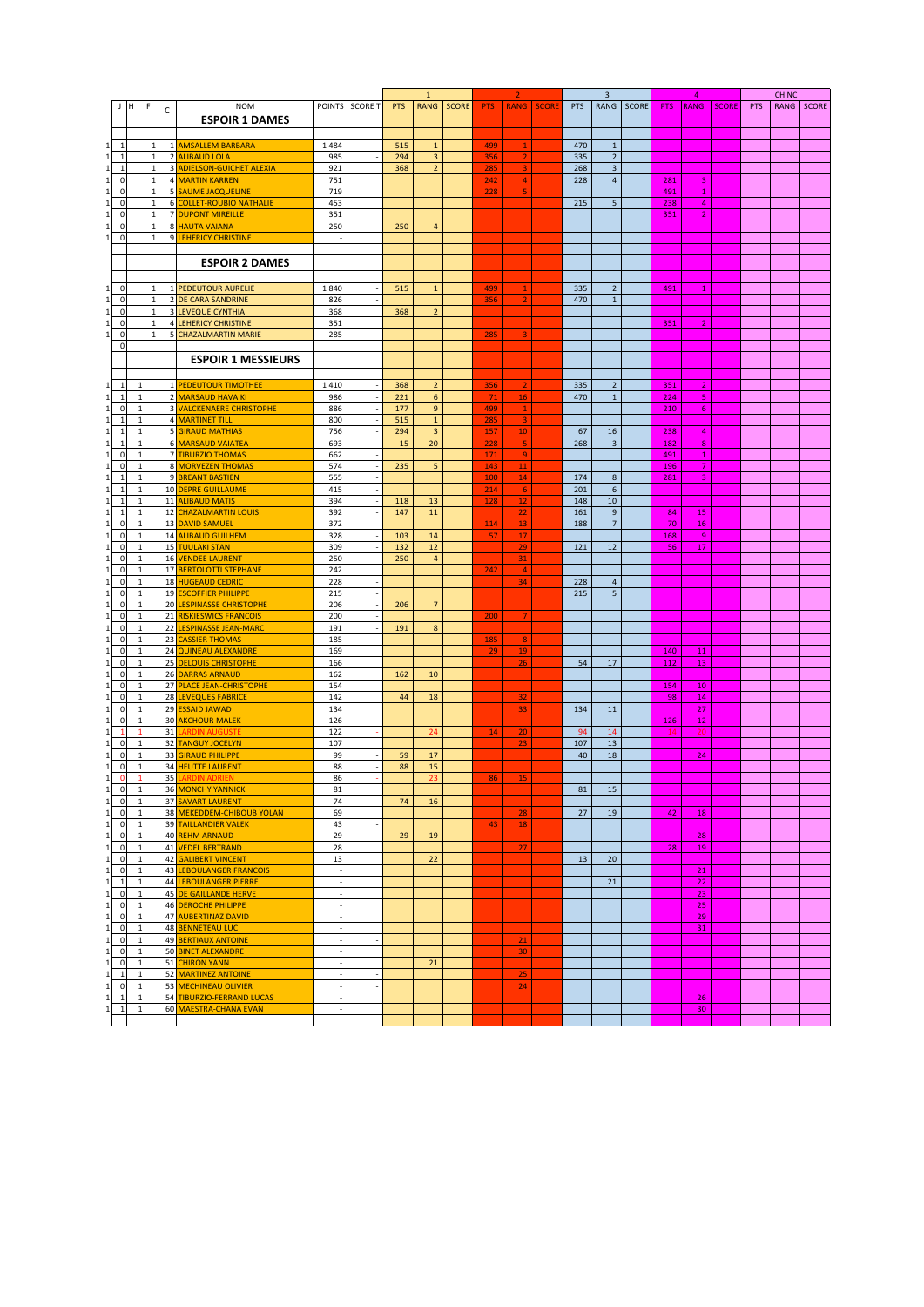|              |                |    |                                          |                          |                          | $\mathbf{1}$ |                         |              | $\overline{2}$ |                                           |  | $\overline{3}$    |                |  | $\overline{a}$                     |                 |  | CH <sub>NC</sub> |            |  |
|--------------|----------------|----|------------------------------------------|--------------------------|--------------------------|--------------|-------------------------|--------------|----------------|-------------------------------------------|--|-------------------|----------------|--|------------------------------------|-----------------|--|------------------|------------|--|
| J H          | F              |    | <b>NOM</b>                               |                          | POINTS SCORE T           | <b>PTS</b>   | <b>RANG</b>             | <b>SCORE</b> |                | <b>PTS</b><br><b>RANG</b><br><b>SCORE</b> |  | PTS<br>RANG SCORE |                |  | <b>SCORE</b><br><b>PTS</b><br>RANG |                 |  | PTS              | RANG SCORE |  |
|              |                |    | <b>ESPOIR 1 DAMES</b>                    |                          |                          |              |                         |              |                |                                           |  |                   |                |  |                                    |                 |  |                  |            |  |
|              |                |    |                                          |                          |                          |              |                         |              |                |                                           |  |                   |                |  |                                    |                 |  |                  |            |  |
|              |                |    |                                          |                          |                          |              |                         |              |                |                                           |  |                   |                |  |                                    |                 |  |                  |            |  |
| $\mathbf{1}$ | 1              |    | 1 AMSALLEM BARBARA                       | 1484                     |                          | 515          | $\mathbf{1}$            |              | 499            | $\mathbf{1}$                              |  | 470               | $\mathbf{1}$   |  |                                    |                 |  |                  |            |  |
| $\mathbf{1}$ | $\mathbf{1}$   |    | 2 ALIBAUD LOLA                           | 985                      |                          | 294          | 3                       |              | 356            | $\overline{2}$                            |  | 335               | $\overline{2}$ |  |                                    |                 |  |                  |            |  |
| $\mathbf{1}$ | $\mathbf{1}$   |    | 3 ADIELSON-GUICHET ALEXIA                | 921                      |                          | 368          | $\overline{2}$          |              | 285            | 3                                         |  | 268               | $\overline{3}$ |  |                                    |                 |  |                  |            |  |
| $\pmb{0}$    | $\mathbf{1}$   |    | 4 MARTIN KARREN                          | 751                      |                          |              |                         |              | 242            | $\overline{4}$                            |  | 228               | $\overline{4}$ |  | 281                                | 3               |  |                  |            |  |
| $\pmb{0}$    | $\mathbf{1}$   |    | <b>5 SAUME JACQUELINE</b>                | 719                      |                          |              |                         |              | 228            | 5                                         |  |                   |                |  | 491                                | $\mathbf{1}$    |  |                  |            |  |
| $\pmb{0}$    | $\overline{1}$ |    | 6 COLLET-ROUBIO NATHALIE                 | 453                      |                          |              |                         |              |                |                                           |  | 215               | 5              |  | 238                                | $\overline{4}$  |  |                  |            |  |
| $\pmb{0}$    | $\mathbf{1}$   |    | <b>DUPONT MIREILLE</b><br>$\overline{7}$ | 351                      |                          |              |                         |              |                |                                           |  |                   |                |  | 351                                | $\overline{2}$  |  |                  |            |  |
|              | $\overline{1}$ |    |                                          |                          |                          |              |                         |              |                |                                           |  |                   |                |  |                                    |                 |  |                  |            |  |
| $\mathbf 0$  |                |    | 8 HAUTA VAIANA                           | 250                      |                          | 250          | 4                       |              |                |                                           |  |                   |                |  |                                    |                 |  |                  |            |  |
| $\pmb{0}$    | $\mathbf{1}$   |    | 9 LEHERICY CHRISTINE                     |                          |                          |              |                         |              |                |                                           |  |                   |                |  |                                    |                 |  |                  |            |  |
|              |                |    |                                          |                          |                          |              |                         |              |                |                                           |  |                   |                |  |                                    |                 |  |                  |            |  |
|              |                |    | <b>ESPOIR 2 DAMES</b>                    |                          |                          |              |                         |              |                |                                           |  |                   |                |  |                                    |                 |  |                  |            |  |
|              |                |    |                                          |                          |                          |              |                         |              |                |                                           |  |                   |                |  |                                    |                 |  |                  |            |  |
| $\pmb{0}$    | $\mathbf{1}$   |    | 1 PEDEUTOUR AURELIE                      | 1840                     |                          | 515          | $\mathbf 1$             |              | 499            |                                           |  | 335               | $\overline{2}$ |  | 491                                |                 |  |                  |            |  |
|              | $\overline{1}$ |    |                                          |                          |                          |              |                         |              |                |                                           |  |                   |                |  |                                    | $\mathbf{1}$    |  |                  |            |  |
| $\pmb{0}$    |                |    | 2 DE CARA SANDRINE                       | 826                      |                          |              |                         |              | 356            |                                           |  | 470               | $1\,$          |  |                                    |                 |  |                  |            |  |
| $\pmb{0}$    | $\overline{1}$ |    | <b>3 LEVEQUE CYNTHIA</b>                 | 368                      |                          | 368          | $\overline{2}$          |              |                |                                           |  |                   |                |  |                                    |                 |  |                  |            |  |
| $\pmb{0}$    | $\overline{1}$ |    | <b>4 LEHERICY CHRISTINE</b>              | 351                      |                          |              |                         |              |                |                                           |  |                   |                |  | 351                                | $\overline{2}$  |  |                  |            |  |
| $\pmb{0}$    | $\mathbf{1}$   |    | <b>5 CHAZALMARTIN MARIE</b>              | 285                      |                          |              |                         |              | 285            | 3                                         |  |                   |                |  |                                    |                 |  |                  |            |  |
| $\pmb{0}$    |                |    |                                          |                          |                          |              |                         |              |                |                                           |  |                   |                |  |                                    |                 |  |                  |            |  |
|              |                |    | <b>ESPOIR 1 MESSIEURS</b>                |                          |                          |              |                         |              |                |                                           |  |                   |                |  |                                    |                 |  |                  |            |  |
|              |                |    |                                          |                          |                          |              |                         |              |                |                                           |  |                   |                |  |                                    |                 |  |                  |            |  |
|              |                |    |                                          |                          |                          |              |                         |              |                |                                           |  |                   |                |  |                                    |                 |  |                  |            |  |
| $\mathbf{1}$ | $\mathbf{1}$   |    | 1 <b>PEDEUTOUR TIMOTHEE</b>              | 1410                     |                          | 368          | $\mathbf 2$             |              | 356            |                                           |  | 335               | $\overline{2}$ |  | 351                                | $\overline{2}$  |  |                  |            |  |
| $\mathbf{1}$ | $\mathbf{1}$   |    | 2 MARSAUD HAVAIKI                        | 986                      |                          | 221          | 6                       |              | 71             | 16                                        |  | 470               | $\mathbf{1}$   |  | 224                                | 5               |  |                  |            |  |
| $\pmb{0}$    | $\mathbf{1}$   |    | 3 VALCKENAERE CHRISTOPHE                 | 886                      |                          | 177          | 9                       |              | 499            | $\mathbf{1}$                              |  |                   |                |  | 210                                | 6               |  |                  |            |  |
| $\mathbf{1}$ | $1\,$          |    | 4 MARTINET TILL                          | 800                      |                          | 515          | $\mathbf 1$             |              | 285            | 3                                         |  |                   |                |  |                                    |                 |  |                  |            |  |
| $\mathbf{1}$ | $\,1\,$        |    | 5 GIRAUD MATHIAS                         | 756                      |                          | 294          | $\overline{3}$          |              | 157            | 10                                        |  | 67                | 16             |  | 238                                | $\overline{4}$  |  |                  |            |  |
| $\mathbf{1}$ | $\,1\,$        |    | 6 MARSAUD VAIATEA                        | 693                      |                          | 15           | 20                      |              | 228            | 5                                         |  | 268               | $\overline{3}$ |  | 182                                | $\bf 8$         |  |                  |            |  |
| $\pmb{0}$    | $\,1\,$        |    | 7 TIBURZIO THOMAS                        | 662                      |                          |              |                         |              | 171            | 9                                         |  |                   |                |  | 491                                | $\mathbf 1$     |  |                  |            |  |
| $\pmb{0}$    | $1\,$          |    | 8 MORVEZEN THOMAS                        | 574                      |                          | 235          | 5                       |              | 143            | 11                                        |  |                   |                |  | 196                                | $\overline{7}$  |  |                  |            |  |
| $\mathbf 1$  | $\mathbf 1$    |    | 9 BREANT BASTIEN                         | 555                      |                          |              |                         |              | 100            | 14                                        |  | 174               | $\bf 8$        |  | 281                                | 3               |  |                  |            |  |
| $\mathbf{1}$ | $\mathbf 1$    |    | 10 DEPRE GUILLAUME                       | 415                      |                          |              |                         |              | 214            | $\epsilon$                                |  | 201               | $\,$ 6 $\,$    |  |                                    |                 |  |                  |            |  |
|              |                |    | 11 ALIBAUD MATIS                         |                          |                          |              |                         |              |                |                                           |  |                   |                |  |                                    |                 |  |                  |            |  |
| $\mathbf{1}$ | $\mathbf 1$    |    |                                          | 394                      |                          | 118          | 13                      |              | 128            | 12                                        |  | 148               | $10\,$         |  |                                    |                 |  |                  |            |  |
| $\mathbf{1}$ | 1              |    | 12 CHAZALMARTIN LOUIS                    | 392                      |                          | 147          | 11                      |              |                | 22                                        |  | 161               | 9              |  | 84                                 | 15              |  |                  |            |  |
| $\pmb{0}$    | $\mathbf{1}$   |    | 13 DAVID SAMUEL                          | 372                      |                          |              |                         |              | 114            | 13                                        |  | 188               | $\overline{7}$ |  | 70                                 | 16              |  |                  |            |  |
| $\pmb{0}$    | $\mathbf 1$    |    | 14 ALIBAUD GUILHEM                       | 328                      |                          | 103          | 14                      |              | 57             | 17                                        |  |                   |                |  | 168                                | 9               |  |                  |            |  |
| $\pmb{0}$    | $\,1\,$        |    | <b>15 TUULAKI STAN</b>                   | 309                      |                          | 132          | $12\,$                  |              |                | 29                                        |  | 121               | 12             |  | 56                                 | 17              |  |                  |            |  |
| $\pmb{0}$    | $\mathbf 1$    |    | 16 VENDEE LAURENT                        | 250                      |                          | 250          | $\overline{4}$          |              |                | 31                                        |  |                   |                |  |                                    |                 |  |                  |            |  |
| $\pmb{0}$    | $\,1\,$        |    | 17 BERTOLOTTI STEPHANE                   | 242                      |                          |              |                         |              | 242            | $\overline{4}$                            |  |                   |                |  |                                    |                 |  |                  |            |  |
| $\pmb{0}$    | $\,1\,$        |    | 18 HUGEAUD CEDRIC                        | 228                      |                          |              |                         |              |                | 34                                        |  | 228               | $\overline{4}$ |  |                                    |                 |  |                  |            |  |
| $\pmb{0}$    | $\,1\,$        |    | 19 ESCOFFIER PHILIPPE                    | 215                      |                          |              |                         |              |                |                                           |  | 215               | 5              |  |                                    |                 |  |                  |            |  |
| $\pmb{0}$    | $\,1\,$        |    | 20 LESPINASSE CHRISTOPHE                 | 206                      |                          | 206          | $\overline{\mathbf{7}}$ |              |                |                                           |  |                   |                |  |                                    |                 |  |                  |            |  |
| $\pmb{0}$    | $\mathbf{1}$   |    | 21 RISKIESWICS FRANCOIS                  | 200                      |                          |              |                         |              |                | $\overline{7}$                            |  |                   |                |  |                                    |                 |  |                  |            |  |
|              |                |    |                                          |                          |                          |              |                         |              | 200            |                                           |  |                   |                |  |                                    |                 |  |                  |            |  |
| $\pmb{0}$    | $1\,$          |    | <b>LESPINASSE JEAN-MARC</b><br>22        | 191                      |                          | 191          | $\bf 8$                 |              |                |                                           |  |                   |                |  |                                    |                 |  |                  |            |  |
| $\pmb{0}$    | $\mathbf{1}$   |    | 23 CASSIER THOMAS                        | 185                      |                          |              |                         |              | 185            | 8                                         |  |                   |                |  |                                    |                 |  |                  |            |  |
| $\pmb{0}$    | $\mathbf{1}$   |    | 24 QUINEAU ALEXANDRE                     | 169                      |                          |              |                         |              | 29             | 19                                        |  |                   |                |  | 140                                | 11              |  |                  |            |  |
| $\mathbf 0$  | $\mathbf{1}$   |    | 25<br><b>DELOUIS CHRISTOPHE</b>          | 166                      |                          |              |                         |              |                | 26                                        |  | 54                | 17             |  | 112                                | 13              |  |                  |            |  |
| $\mathbf 0$  | $\mathbf{1}$   |    | DARRAS ARNAUD<br>26                      | 162                      |                          | 162          | 10                      |              |                |                                           |  |                   |                |  |                                    |                 |  |                  |            |  |
| $\mathbf 0$  | $\mathbf{1}$   |    | 27 PLACE JEAN-CHRISTOPHE                 | 154                      |                          |              |                         |              |                |                                           |  |                   |                |  | 154                                | 10              |  |                  |            |  |
| $\pmb{0}$    | $\mathbf{1}$   |    | <b>LEVEQUES FABRICE</b><br>28            | 142                      |                          | 44           | 18                      |              |                | 32                                        |  |                   |                |  | 98                                 | 14              |  |                  |            |  |
| $\pmb{0}$    | $1\,$          |    | 29 ESSAID JAWAD                          | 134                      |                          |              |                         |              |                | 33                                        |  | 134               | 11             |  |                                    | 27              |  |                  |            |  |
| 0            | $\mathbf{1}$   |    | <b>30 AKCHOUR MALEK</b>                  | 126                      |                          |              |                         |              |                |                                           |  |                   |                |  | 126                                | 12              |  |                  |            |  |
| $\mathbf{1}$ |                | 31 | <b>ARDIN AUGUSTE</b>                     | 122                      |                          |              | 24                      |              | 14             | 20                                        |  | 94                | 14             |  | 14                                 | 20              |  |                  |            |  |
| $\pmb{0}$    | $\mathbf 1$    |    | 32 TANGUY JOCELYN                        | 107                      |                          |              |                         |              |                | 23                                        |  | 107               | 13             |  |                                    |                 |  |                  |            |  |
| $\pmb{0}$    | $1\,$          |    | 33<br><b>GIRAUD PHILIPPE</b>             | 99                       |                          | 59           | 17                      |              |                |                                           |  | 40                | 18             |  |                                    | 24              |  |                  |            |  |
| $\pmb{0}$    | $\,1\,$        |    | <b>34 HEUTTE LAURENT</b>                 | 88                       |                          | 88           | 15                      |              |                |                                           |  |                   |                |  |                                    |                 |  |                  |            |  |
| $\mathbf 0$  |                | 35 |                                          | 86                       |                          |              | 23                      |              |                |                                           |  |                   |                |  |                                    |                 |  |                  |            |  |
|              | 1              |    | <b>ARDIN ADRIEN</b>                      |                          |                          |              |                         |              | 86             | 15                                        |  |                   |                |  |                                    |                 |  |                  |            |  |
| 0            | $\mathbf{1}$   |    | 36 MONCHY YANNICK                        | 81                       |                          |              |                         |              |                |                                           |  | 81                | 15             |  |                                    |                 |  |                  |            |  |
| $\pmb{0}$    | 1              |    | 37 SAVART LAURENT                        | 74                       |                          | 74           | 16                      |              |                |                                           |  |                   |                |  |                                    |                 |  |                  |            |  |
| $\pmb{0}$    | $\mathbf{1}$   |    | 38 MEKEDDEM-CHIBOUB YOLAN                | 69                       |                          |              |                         |              |                | 28                                        |  | 27                | 19             |  | 42                                 | 18              |  |                  |            |  |
| $\pmb{0}$    | 1              |    | 39 TAILLANDIER VALEK                     | 43                       |                          |              |                         |              | 43             | 18                                        |  |                   |                |  |                                    |                 |  |                  |            |  |
| $\pmb{0}$    | $\mathbf{1}$   |    | 40 REHM ARNAUD                           | 29                       |                          | 29           | 19                      |              |                |                                           |  |                   |                |  |                                    | 28              |  |                  |            |  |
| $\pmb{0}$    | 1              |    | 41 VEDEL BERTRAND                        | 28                       |                          |              |                         |              |                | 27                                        |  |                   |                |  | 28                                 | 19              |  |                  |            |  |
| $\pmb{0}$    | $\,1\,$        |    | 42 GALIBERT VINCENT                      | 13                       |                          |              | 22                      |              |                |                                           |  | 13                | 20             |  |                                    |                 |  |                  |            |  |
| $\pmb{0}$    | $1\,$          |    | 43 LEBOULANGER FRANCOIS                  | $\overline{\phantom{a}}$ |                          |              |                         |              |                |                                           |  |                   |                |  |                                    | 21              |  |                  |            |  |
| $\mathbf{1}$ | $\mathbf 1$    |    | <b>LEBOULANGER PIERRE</b><br>44          | $\sim$                   |                          |              |                         |              |                |                                           |  |                   | 21             |  |                                    | 22              |  |                  |            |  |
| $\pmb{0}$    | $\,1\,$        |    | DE GAILLANDE HERVE<br>45                 | $\overline{\phantom{a}}$ |                          |              |                         |              |                |                                           |  |                   |                |  |                                    | 23              |  |                  |            |  |
| $\pmb{0}$    | $\,1\,$        |    | 46 DEROCHE PHILIPPE                      | $\sim$                   |                          |              |                         |              |                |                                           |  |                   |                |  |                                    |                 |  |                  |            |  |
|              |                |    |                                          |                          |                          |              |                         |              |                |                                           |  |                   |                |  |                                    | 25              |  |                  |            |  |
| $\pmb{0}$    | $\,1\,$        |    | 47 AUBERTINAZ DAVID                      | ÷.                       |                          |              |                         |              |                |                                           |  |                   |                |  |                                    | 29              |  |                  |            |  |
| $\pmb{0}$    | $\mathbf 1$    |    | 48 BENNETEAU LUC                         | $\sim$                   |                          |              |                         |              |                |                                           |  |                   |                |  |                                    | 31              |  |                  |            |  |
| $\pmb{0}$    | $1\,$          |    | 49 BERTIAUX ANTOINE                      | $\overline{\phantom{a}}$ |                          |              |                         |              |                | 21                                        |  |                   |                |  |                                    |                 |  |                  |            |  |
| $\pmb{0}$    | $\mathbf{1}$   |    | 50 BINET ALEXANDRE                       | $\sim$                   |                          |              |                         |              |                | 30                                        |  |                   |                |  |                                    |                 |  |                  |            |  |
| $\pmb{0}$    | $\,1\,$        | 51 | <b>CHIRON YANN</b>                       | $\overline{\phantom{a}}$ |                          |              | 21                      |              |                |                                           |  |                   |                |  |                                    |                 |  |                  |            |  |
| $\mathbf{1}$ | $\mathbf{1}$   |    | 52 MARTINEZ ANTOINE                      | $\overline{\phantom{a}}$ |                          |              |                         |              |                | 25                                        |  |                   |                |  |                                    |                 |  |                  |            |  |
| $\pmb{0}$    | $\mathbf{1}$   |    | 53 MECHINEAU OLIVIER                     | $\overline{\phantom{a}}$ | $\overline{\phantom{a}}$ |              |                         |              |                | 24                                        |  |                   |                |  |                                    |                 |  |                  |            |  |
| $\mathbf{1}$ | $\mathbf{1}$   |    | 54 TIBURZIO-FERRAND LUCAS                | $\overline{\phantom{a}}$ |                          |              |                         |              |                |                                           |  |                   |                |  |                                    | 26              |  |                  |            |  |
| $\mathbf{1}$ | $\mathbf{1}$   |    | 60 MAESTRA-CHANA EVAN                    |                          |                          |              |                         |              |                |                                           |  |                   |                |  |                                    | 30 <sub>o</sub> |  |                  |            |  |
|              |                |    |                                          |                          |                          |              |                         |              |                |                                           |  |                   |                |  |                                    |                 |  |                  |            |  |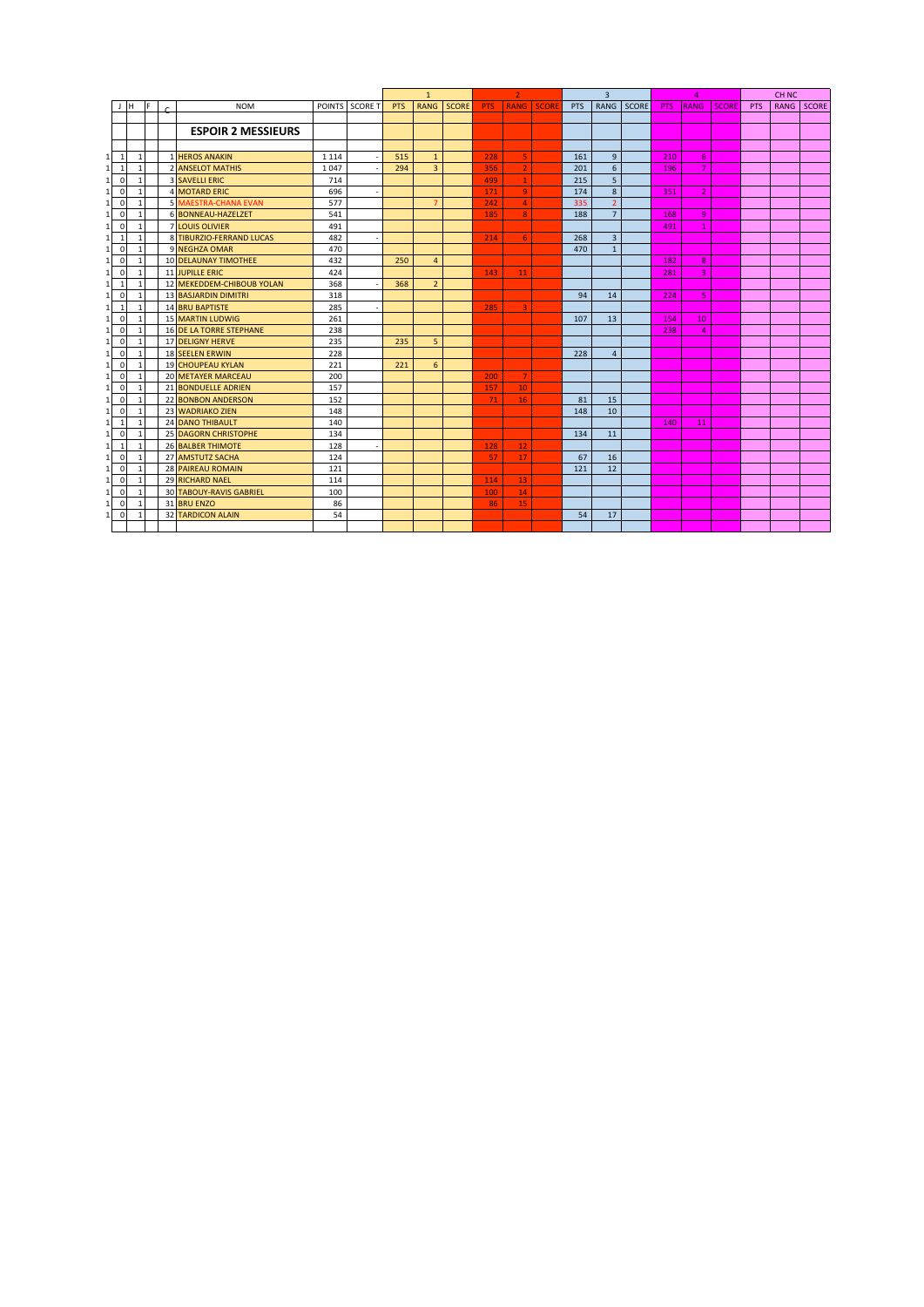|              |              |                |                                | $\mathbf{1}$ |                |     | $\overline{2}$ |              |            | $\overline{3}$  |                   |            | 4              |       |            | CH <sub>NC</sub> |              |            |             |       |
|--------------|--------------|----------------|--------------------------------|--------------|----------------|-----|----------------|--------------|------------|-----------------|-------------------|------------|----------------|-------|------------|------------------|--------------|------------|-------------|-------|
| J H          | F            |                | <b>NOM</b>                     |              | POINTS SCORE T | PTS | <b>RANG</b>    | <b>SCORE</b> | <b>PTS</b> |                 | <b>RANG</b> SCORE | <b>PTS</b> | RANG           | SCORE | <b>PTS</b> | <b>RANG</b>      | <b>SCORE</b> | <b>PTS</b> | <b>RANG</b> | SCORE |
|              |              |                |                                |              |                |     |                |              |            |                 |                   |            |                |       |            |                  |              |            |             |       |
|              |              |                | <b>ESPOIR 2 MESSIEURS</b>      |              |                |     |                |              |            |                 |                   |            |                |       |            |                  |              |            |             |       |
|              |              |                |                                |              |                |     |                |              |            |                 |                   |            |                |       |            |                  |              |            |             |       |
| $\mathbf{1}$ | $\mathbf{1}$ | $\mathbf{1}$   | <b>HEROS ANAKIN</b>            | 1 1 1 4      |                | 515 | $\mathbf{1}$   |              | 228        | 5 <sup>1</sup>  |                   | 161        | $\overline{9}$ |       | 210        | 6                |              |            |             |       |
| $\mathbf{1}$ |              | $\overline{z}$ | <b>ANSELOT MATHIS</b>          | 1047         |                | 294 | $\overline{3}$ |              | 356        | $\overline{2}$  |                   | 201        | 6              |       | 196        | 7                |              |            |             |       |
| $\mathbf 0$  |              |                | <b>3 SAVELLI ERIC</b>          | 714          |                |     |                |              | 499        | $\mathbf{1}$    |                   | 215        | 5              |       |            |                  |              |            |             |       |
| $\mathbf 0$  |              |                | <b>4 MOTARD ERIC</b>           | 696          |                |     |                |              | 171        | $\overline{9}$  |                   | 174        | 8              |       | 351        | $\overline{2}$   |              |            |             |       |
| $\mathbf 0$  |              |                | <b>5 MAESTRA-CHANA EVAN</b>    | 577          |                |     | 7              |              | 242        | $\overline{4}$  |                   | 335        | $\overline{2}$ |       |            |                  |              |            |             |       |
| $\mathbf 0$  |              |                | 6 BONNEAU-HAZELZET             | 541          |                |     |                |              | 185        | 8               |                   | 188        | $\overline{7}$ |       | 168        | $\overline{9}$   |              |            |             |       |
| $\mathbf 0$  |              | $\overline{7}$ | <b>LOUIS OLIVIER</b>           | 491          |                |     |                |              |            |                 |                   |            |                |       | 491        |                  |              |            |             |       |
| 1            |              |                | 8 TIBURZIO-FERRAND LUCAS       | 482          |                |     |                |              | 214        | 6               |                   | 268        | 3              |       |            |                  |              |            |             |       |
| $\mathbf 0$  |              |                | 9 NEGHZA OMAR                  | 470          |                |     |                |              |            |                 |                   | 470        | $\mathbf{1}$   |       |            |                  |              |            |             |       |
| $\mathbf 0$  | $\mathbf{1}$ |                | 10 DELAUNAY TIMOTHEE           | 432          |                | 250 | $\overline{4}$ |              |            |                 |                   |            |                |       | 182        | 8                |              |            |             |       |
| $\mathbf 0$  | 1            |                | <b>11 JUPILLE ERIC</b>         | 424          |                |     |                |              | 143        | 11              |                   |            |                |       | 281        | 3                |              |            |             |       |
| 1            | $\mathbf{1}$ |                | 12 MEKEDDEM-CHIBOUB YOLAN      | 368          |                | 368 | $\overline{2}$ |              |            |                 |                   |            |                |       |            |                  |              |            |             |       |
| $\mathbf 0$  | $\mathbf{1}$ |                | <b>13 BASJARDIN DIMITRI</b>    | 318          |                |     |                |              |            |                 |                   | 94         | 14             |       | 224        | 5                |              |            |             |       |
| 1            | $\mathbf{1}$ |                | <b>14 BRU BAPTISTE</b>         | 285          |                |     |                |              | 285        | 3               |                   |            |                |       |            |                  |              |            |             |       |
| $\mathbf 0$  | $\mathbf{1}$ |                | <b>15 MARTIN LUDWIG</b>        | 261          |                |     |                |              |            |                 |                   | 107        | 13             |       | 154        | 10               |              |            |             |       |
| $\mathbf 0$  |              |                | <b>16 DE LA TORRE STEPHANE</b> | 238          |                |     |                |              |            |                 |                   |            |                |       | 238        | $\overline{a}$   |              |            |             |       |
| $\mathbf 0$  |              |                | <b>17 DELIGNY HERVE</b>        | 235          |                | 235 | 5              |              |            |                 |                   |            |                |       |            |                  |              |            |             |       |
| $\mathbf 0$  | $\mathbf{1}$ |                | <b>18 SEELEN ERWIN</b>         | 228          |                |     |                |              |            |                 |                   | 228        | $\overline{4}$ |       |            |                  |              |            |             |       |
| $\mathbf 0$  |              |                | <b>19 CHOUPEAU KYLAN</b>       | 221          |                | 221 | 6              |              |            |                 |                   |            |                |       |            |                  |              |            |             |       |
| $\mathbf 0$  |              |                | 20 METAYER MARCEAU             | 200          |                |     |                |              | 200        | $\overline{7}$  |                   |            |                |       |            |                  |              |            |             |       |
| $\mathbf 0$  |              |                | 21 BONDUELLE ADRIEN            | 157          |                |     |                |              | 157        | 10 <sup>°</sup> |                   |            |                |       |            |                  |              |            |             |       |
| $\mathbf 0$  | $\mathbf{1}$ |                | <b>22 BONBON ANDERSON</b>      | 152          |                |     |                |              | 71         | 16              |                   | 81         | 15             |       |            |                  |              |            |             |       |
| $\mathbf 0$  | $\mathbf{1}$ |                | 23 WADRIAKO ZIEN               | 148          |                |     |                |              |            |                 |                   | 148        | 10             |       |            |                  |              |            |             |       |
| 1            | $\mathbf{1}$ |                | 24 DANO THIBAULT               | 140          |                |     |                |              |            |                 |                   |            |                |       | 140        | 11               |              |            |             |       |
| $\mathbf 0$  | 1            |                | <b>25 DAGORN CHRISTOPHE</b>    | 134          |                |     |                |              |            |                 |                   | 134        | 11             |       |            |                  |              |            |             |       |
| 1            | $\mathbf{1}$ |                | <b>26 BALBER THIMOTE</b>       | 128          |                |     |                |              | 128        | 12 <sub>2</sub> |                   |            |                |       |            |                  |              |            |             |       |
| $\mathbf 0$  |              |                | 27 AMSTUTZ SACHA               | 124          |                |     |                |              | 57         | 17              |                   | 67         | 16             |       |            |                  |              |            |             |       |
| $\mathbf 0$  |              |                | <b>28 PAIREAU ROMAIN</b>       | 121          |                |     |                |              |            |                 |                   | 121        | 12             |       |            |                  |              |            |             |       |
| $\mathbf 0$  |              |                | <b>29 RICHARD NAEL</b>         | 114          |                |     |                |              | 114        | 13              |                   |            |                |       |            |                  |              |            |             |       |
| $\Omega$     |              |                | <b>30 TABOUY-RAVIS GABRIEL</b> | 100          |                |     |                |              | 100        | 14              |                   |            |                |       |            |                  |              |            |             |       |
| $\mathbf 0$  |              | 31             | <b>BRU ENZO</b>                | 86           |                |     |                |              | 86         | 15              |                   |            |                |       |            |                  |              |            |             |       |
| $\mathbf 0$  |              |                | <b>32 TARDICON ALAIN</b>       | 54           |                |     |                |              |            |                 |                   | 54         | 17             |       |            |                  |              |            |             |       |
|              |              |                |                                |              |                |     |                |              |            |                 |                   |            |                |       |            |                  |              |            |             |       |